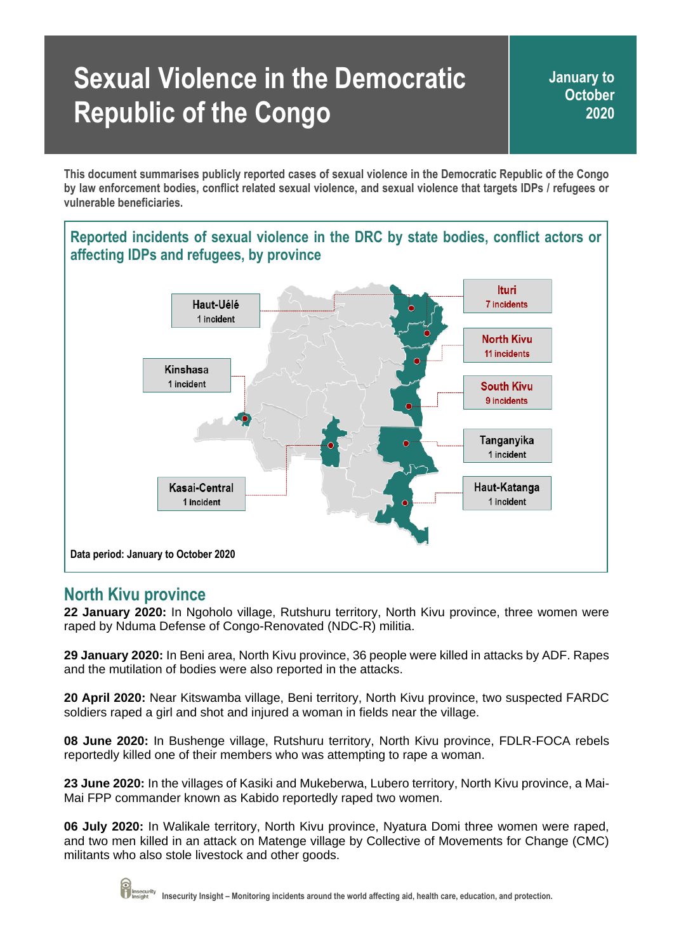# **Sexual Violence in the Democratic Republic of the Congo**

**January to October 2020**

**This document summarises publicly reported cases of sexual violence in the Democratic Republic of the Congo by law enforcement bodies, conflict related sexual violence, and sexual violence that targets IDPs / refugees or vulnerable beneficiaries.**

# **Reported incidents of sexual violence in the DRC by state bodies, conflict actors or affecting IDPs and refugees, by province**



## **North Kivu province**

**22 January 2020:** In Ngoholo village, Rutshuru territory, North Kivu province, three women were raped by Nduma Defense of Congo-Renovated (NDC-R) militia.

**29 January 2020:** In Beni area, North Kivu province, 36 people were killed in attacks by ADF. Rapes and the mutilation of bodies were also reported in the attacks.

**20 April 2020:** Near Kitswamba village, Beni territory, North Kivu province, two suspected FARDC soldiers raped a girl and shot and injured a woman in fields near the village.

**08 June 2020:** In Bushenge village, Rutshuru territory, North Kivu province, FDLR-FOCA rebels reportedly killed one of their members who was attempting to rape a woman.

**23 June 2020:** In the villages of Kasiki and Mukeberwa, Lubero territory, North Kivu province, a Mai-Mai FPP commander known as Kabido reportedly raped two women.

**06 July 2020:** In Walikale territory, North Kivu province, Nyatura Domi three women were raped, and two men killed in an attack on Matenge village by Collective of Movements for Change (CMC) militants who also stole livestock and other goods.

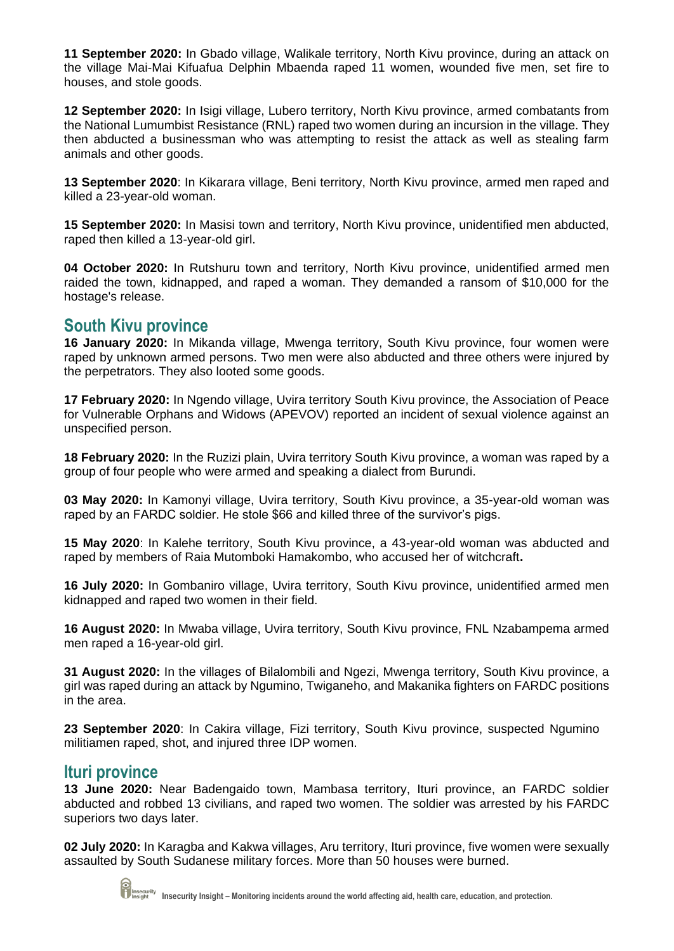**11 September 2020:** In Gbado village, Walikale territory, North Kivu province, during an attack on the village Mai-Mai Kifuafua Delphin Mbaenda raped 11 women, wounded five men, set fire to houses, and stole goods.

**12 September 2020:** In Isigi village, Lubero territory, North Kivu province, armed combatants from the National Lumumbist Resistance (RNL) raped two women during an incursion in the village. They then abducted a businessman who was attempting to resist the attack as well as stealing farm animals and other goods.

**13 September 2020**: In Kikarara village, Beni territory, North Kivu province, armed men raped and killed a 23-year-old woman.

**15 September 2020:** In Masisi town and territory, North Kivu province, unidentified men abducted, raped then killed a 13-year-old girl.

**04 October 2020:** In Rutshuru town and territory, North Kivu province, unidentified armed men raided the town, kidnapped, and raped a woman. They demanded a ransom of \$10,000 for the hostage's release.

## **South Kivu province**

**16 January 2020:** In Mikanda village, Mwenga territory, South Kivu province, four women were raped by unknown armed persons. Two men were also abducted and three others were injured by the perpetrators. They also looted some goods.

**17 February 2020:** In Ngendo village, Uvira territory South Kivu province, the Association of Peace for Vulnerable Orphans and Widows (APEVOV) reported an incident of sexual violence against an unspecified person.

**18 February 2020:** In the Ruzizi plain, Uvira territory South Kivu province, a woman was raped by a group of four people who were armed and speaking a dialect from Burundi.

**03 May 2020:** In Kamonyi village, Uvira territory, South Kivu province, a 35-year-old woman was raped by an FARDC soldier. He stole \$66 and killed three of the survivor's pigs.

**15 May 2020**: In Kalehe territory, South Kivu province, a 43-year-old woman was abducted and raped by members of Raia Mutomboki Hamakombo, who accused her of witchcraft**.** 

**16 July 2020:** In Gombaniro village, Uvira territory, South Kivu province, unidentified armed men kidnapped and raped two women in their field.

**16 August 2020:** In Mwaba village, Uvira territory, South Kivu province, FNL Nzabampema armed men raped a 16-year-old girl.

**31 August 2020:** In the villages of Bilalombili and Ngezi, Mwenga territory, South Kivu province, a girl was raped during an attack by Ngumino, Twiganeho, and Makanika fighters on FARDC positions in the area.

**23 September 2020**: In Cakira village, Fizi territory, South Kivu province, suspected Ngumino militiamen raped, shot, and injured three IDP women.

#### **Ituri province**

**13 June 2020:** Near Badengaido town, Mambasa territory, Ituri province, an FARDC soldier abducted and robbed 13 civilians, and raped two women. The soldier was arrested by his FARDC superiors two days later.

**02 July 2020:** In Karagba and Kakwa villages, Aru territory, Ituri province, five women were sexually assaulted by South Sudanese military forces. More than 50 houses were burned.